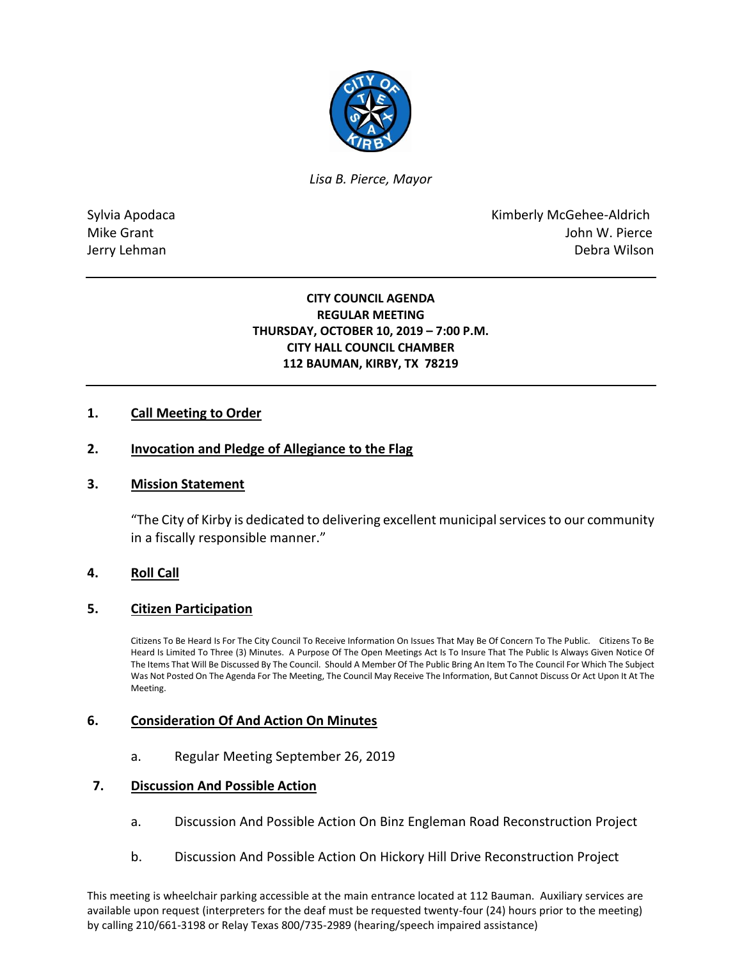

*Lisa B. Pierce, Mayor* 

Sylvia Apodaca **Kimberly McGehee-Aldrich** Mike Grant **Mike Grant** John W. Pierce Jerry Lehman Debra Wilson

# **CITY COUNCIL AGENDA REGULAR MEETING THURSDAY, OCTOBER 10, 2019 – 7:00 P.M. CITY HALL COUNCIL CHAMBER 112 BAUMAN, KIRBY, TX 78219**

# **1. Call Meeting to Order**

### **2. Invocation and Pledge of Allegiance to the Flag**

#### **3. Mission Statement**

"The City of Kirby is dedicated to delivering excellent municipal services to our community in a fiscally responsible manner."

#### **4. Roll Call**

#### **5. Citizen Participation**

Citizens To Be Heard Is For The City Council To Receive Information On Issues That May Be Of Concern To The Public. Citizens To Be Heard Is Limited To Three (3) Minutes. A Purpose Of The Open Meetings Act Is To Insure That The Public Is Always Given Notice Of The Items That Will Be Discussed By The Council. Should A Member Of The Public Bring An Item To The Council For Which The Subject Was Not Posted On The Agenda For The Meeting, The Council May Receive The Information, But Cannot Discuss Or Act Upon It At The Meeting.

#### **6. Consideration Of And Action On Minutes**

a. Regular Meeting September 26, 2019

### **7. Discussion And Possible Action**

- a. Discussion And Possible Action On Binz Engleman Road Reconstruction Project
- b. Discussion And Possible Action On Hickory Hill Drive Reconstruction Project

This meeting is wheelchair parking accessible at the main entrance located at 112 Bauman. Auxiliary services are available upon request (interpreters for the deaf must be requested twenty-four (24) hours prior to the meeting) by calling 210/661-3198 or Relay Texas 800/735-2989 (hearing/speech impaired assistance)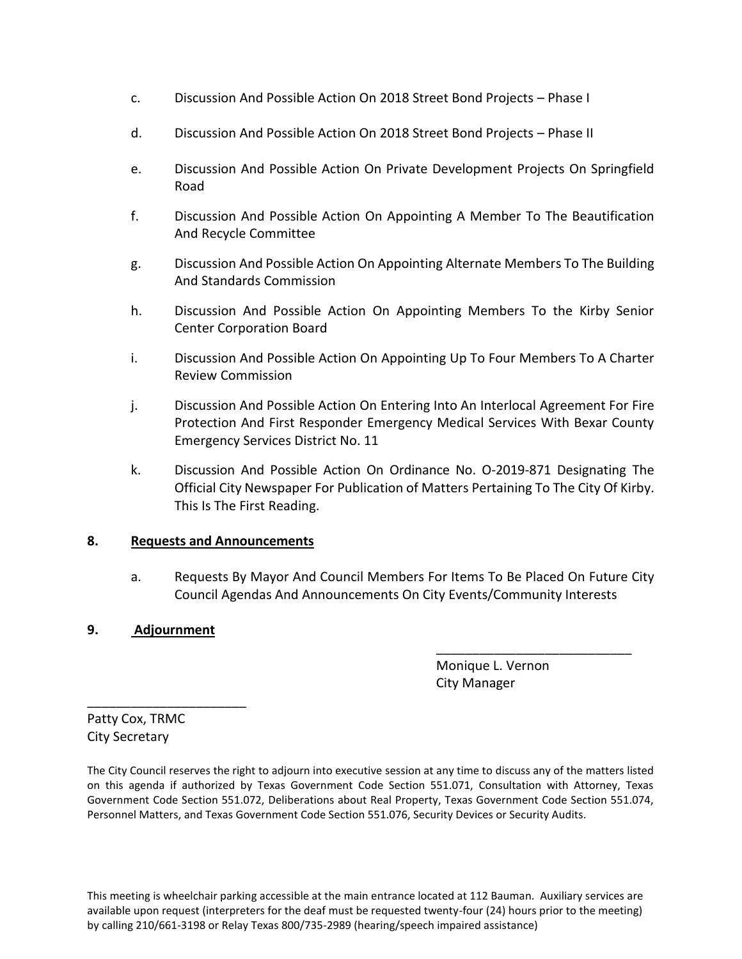- c. Discussion And Possible Action On 2018 Street Bond Projects Phase I
- d. Discussion And Possible Action On 2018 Street Bond Projects Phase II
- e. Discussion And Possible Action On Private Development Projects On Springfield Road
- f. Discussion And Possible Action On Appointing A Member To The Beautification And Recycle Committee
- g. Discussion And Possible Action On Appointing Alternate Members To The Building And Standards Commission
- h. Discussion And Possible Action On Appointing Members To the Kirby Senior Center Corporation Board
- i. Discussion And Possible Action On Appointing Up To Four Members To A Charter Review Commission
- j. Discussion And Possible Action On Entering Into An Interlocal Agreement For Fire Protection And First Responder Emergency Medical Services With Bexar County Emergency Services District No. 11
- k. Discussion And Possible Action On Ordinance No. O-2019-871 Designating The Official City Newspaper For Publication of Matters Pertaining To The City Of Kirby. This Is The First Reading.

#### **8. Requests and Announcements**

a. Requests By Mayor And Council Members For Items To Be Placed On Future City Council Agendas And Announcements On City Events/Community Interests

\_\_\_\_\_\_\_\_\_\_\_\_\_\_\_\_\_\_\_\_\_\_\_\_\_\_\_

# **9. Adjournment**

\_\_\_\_\_\_\_\_\_\_\_\_\_\_\_\_\_\_\_\_\_\_

 Monique L. Vernon City Manager

Patty Cox, TRMC City Secretary

The City Council reserves the right to adjourn into executive session at any time to discuss any of the matters listed on this agenda if authorized by Texas Government Code Section 551.071, Consultation with Attorney, Texas Government Code Section 551.072, Deliberations about Real Property, Texas Government Code Section 551.074, Personnel Matters, and Texas Government Code Section 551.076, Security Devices or Security Audits.

This meeting is wheelchair parking accessible at the main entrance located at 112 Bauman. Auxiliary services are available upon request (interpreters for the deaf must be requested twenty-four (24) hours prior to the meeting) by calling 210/661-3198 or Relay Texas 800/735-2989 (hearing/speech impaired assistance)